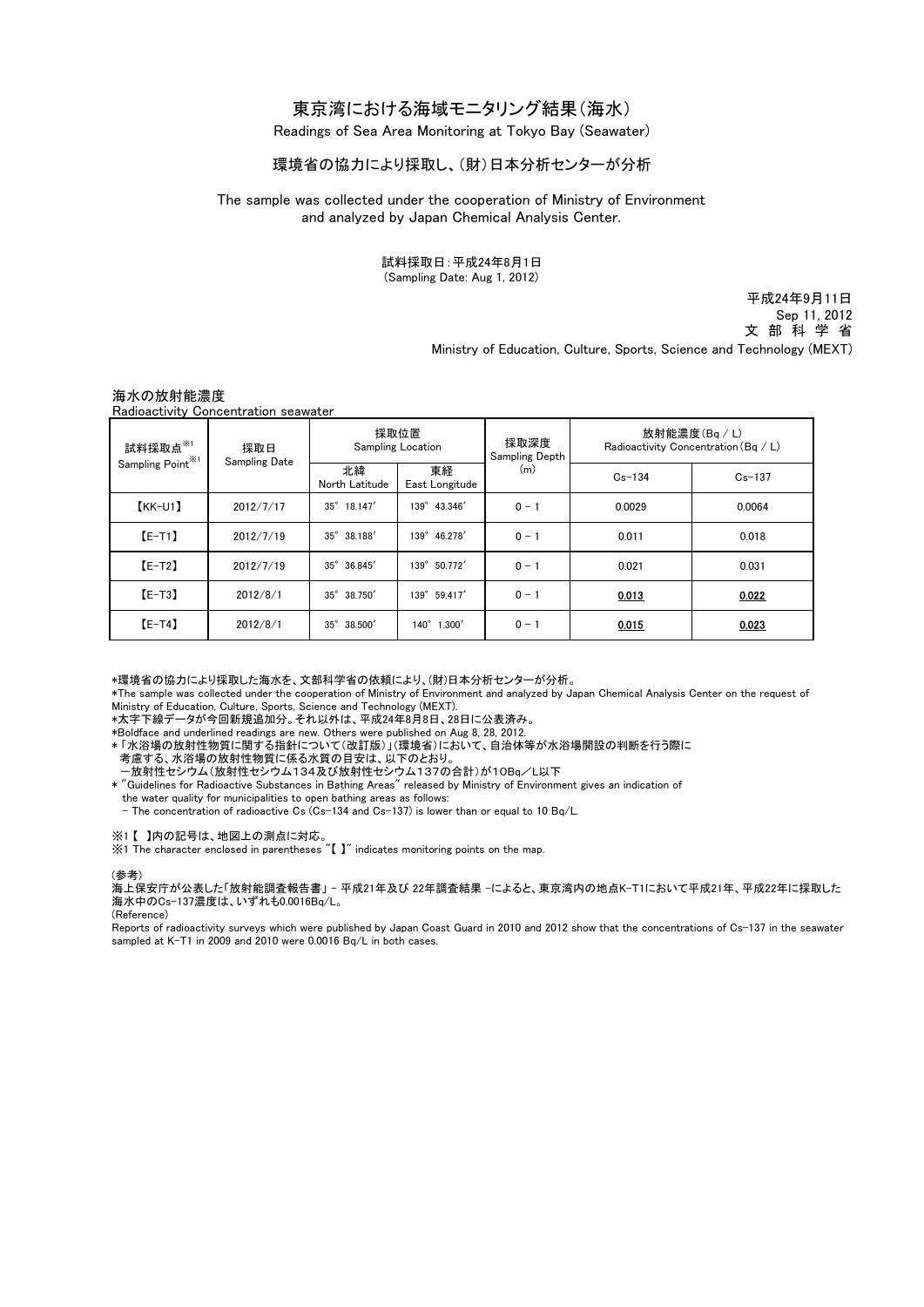# 東京湾における海域モニタリング結果(海水)

Readings of Sea Area Monitoring at Tokyo Bay (Seawater)

## 環境省の協力により採取し、(財)日本分析センターが分析

## The sample was collected under the cooperation of Ministry of Environment and analyzed by Japan Chemical Analysis Center.

試料採取日:平成24年8月1日 (Sampling Date: Aug 1, 2012)

> Ministry of Education, Culture, Sports, Science and Technology (MEXT) 平成24年9月11日 Sep 11, 2012 文 部 科 学 省

## 海水の放射能濃度

Radioactivity Concentration seawater

| 試料採取点※1<br>Sampling Point <sup>※1</sup> | 採取日<br><b>Sampling Date</b> | 採取位置<br><b>Sampling Location</b> |                       | 採取深度<br><b>Sampling Depth</b> | 放射能濃度(Bq / L)<br>Radioactivity Concentration (Bq / L) |            |
|-----------------------------------------|-----------------------------|----------------------------------|-----------------------|-------------------------------|-------------------------------------------------------|------------|
|                                         |                             | 北緯<br>North Latitude             | 東経<br>East Longitude  | (m)                           | $Cs - 134$                                            | $Cs - 137$ |
| $KK-U1$                                 | 2012/7/17                   | $35^\circ$<br>18.147'            | 139° 43.346'          | $0 - 1$                       | 0.0029                                                | 0.0064     |
| $E-T1$                                  | 2012/7/19                   | $35^{\circ}$<br>38.188           | 139°<br>46.278        | $0 - 1$                       | 0.011                                                 | 0.018      |
| $[E-T2]$                                | 2012/7/19                   | $35^\circ$<br>36.845             | $139^\circ$<br>50.772 | $0 - 1$                       | 0.021                                                 | 0.031      |
| $[E-T3]$                                | 2012/8/1                    | $35^{\circ}$<br>38.750           | $139^\circ$<br>59.417 | $0 - 1$                       | 0.013                                                 | 0.022      |
| $[E-T4]$                                | 2012/8/1                    | $35^\circ$<br>38.500             | $140^\circ$<br>1.300' | $0 - 1$                       | 0.015                                                 | 0.023      |

\*環境省の協力により採取した海水を、文部科学省の依頼により、(財)日本分析センターが分析。

\*The sample was collected under the cooperation of Ministry of Environment and analyzed by Japan Chemical Analysis Center on the request of Ministry of Education, Culture, Sports, Science and Technology (MEXT).

\*太字下線データが今回新規追加分。それ以外は、平成24年8月8日、28日に公表済み。

\*Boldface and underlined readings are new. Others were published on Aug 8, 28, 2012.

\* 「水浴場の放射性物質に関する指針について(改訂版)」(環境省)において、自治体等が水浴場開設の判断を行う際に

考慮する、水浴場の放射性物質に係る水質の目安は、以下のとおり。

-<br>- 放射性セシウム(放射性セシウム134及び放射性セシウム137の合計)が10Bq/L以下

\* "Guidelines for Radioactive Substances in Bathing Areas" released by Ministry of Environment gives an indication of

the water quality for municipalities to open bathing areas as follows:

- The concentration of radioactive Cs (Cs-134 and Cs-137) is lower than or equal to 10 Bq/L.

※1 【 】内の記号は、地図上の測点に対応。

※1 The character enclosed in parentheses "【 】" indicates monitoring points on the map.

(参考)

海上保安庁が公表した「放射能調査報告書」 - 平成21年及び 22年調査結果 -によると、東京湾内の地点K-T1において平成21年、平成22年に採取した 海水中のCs-137濃度は、いずれも0.0016Bq/L。

(Reference)

Reports of radioactivity surveys which were published by Japan Coast Guard in 2010 and 2012 show that the concentrations of Cs-137 in the seawater sampled at K-T1 in 2009 and 2010 were 0.0016 Bq/L in both cases.